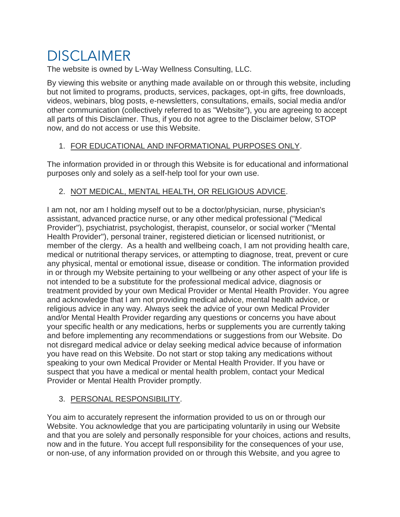# DISCLAIMER

The website is owned by L-Way Wellness Consulting, LLC.

By viewing this website or anything made available on or through this website, including but not limited to programs, products, services, packages, opt-in gifts, free downloads, videos, webinars, blog posts, e-newsletters, consultations, emails, social media and/or other communication (collectively referred to as "Website"), you are agreeing to accept all parts of this Disclaimer. Thus, if you do not agree to the Disclaimer below, STOP now, and do not access or use this Website.

#### 1. FOR EDUCATIONAL AND INFORMATIONAL PURPOSES ONLY.

The information provided in or through this Website is for educational and informational purposes only and solely as a self-help tool for your own use.

#### 2. NOT MEDICAL, MENTAL HEALTH, OR RELIGIOUS ADVICE.

I am not, nor am I holding myself out to be a doctor/physician, nurse, physician's assistant, advanced practice nurse, or any other medical professional ("Medical Provider"), psychiatrist, psychologist, therapist, counselor, or social worker ("Mental Health Provider"), personal trainer, registered dietician or licensed nutritionist, or member of the clergy. As a health and wellbeing coach, I am not providing health care, medical or nutritional therapy services, or attempting to diagnose, treat, prevent or cure any physical, mental or emotional issue, disease or condition. The information provided in or through my Website pertaining to your wellbeing or any other aspect of your life is not intended to be a substitute for the professional medical advice, diagnosis or treatment provided by your own Medical Provider or Mental Health Provider. You agree and acknowledge that I am not providing medical advice, mental health advice, or religious advice in any way. Always seek the advice of your own Medical Provider and/or Mental Health Provider regarding any questions or concerns you have about your specific health or any medications, herbs or supplements you are currently taking and before implementing any recommendations or suggestions from our Website. Do not disregard medical advice or delay seeking medical advice because of information you have read on this Website. Do not start or stop taking any medications without speaking to your own Medical Provider or Mental Health Provider. If you have or suspect that you have a medical or mental health problem, contact your Medical Provider or Mental Health Provider promptly.

#### 3. PERSONAL RESPONSIBILITY.

You aim to accurately represent the information provided to us on or through our Website. You acknowledge that you are participating voluntarily in using our Website and that you are solely and personally responsible for your choices, actions and results, now and in the future. You accept full responsibility for the consequences of your use, or non-use, of any information provided on or through this Website, and you agree to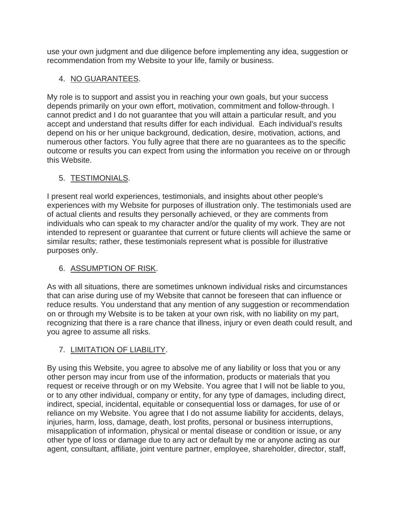use your own judgment and due diligence before implementing any idea, suggestion or recommendation from my Website to your life, family or business.

## 4. NO GUARANTEES.

My role is to support and assist you in reaching your own goals, but your success depends primarily on your own effort, motivation, commitment and follow-through. I cannot predict and I do not guarantee that you will attain a particular result, and you accept and understand that results differ for each individual. Each individual's results depend on his or her unique background, dedication, desire, motivation, actions, and numerous other factors. You fully agree that there are no guarantees as to the specific outcome or results you can expect from using the information you receive on or through this Website.

#### 5. TESTIMONIALS.

I present real world experiences, testimonials, and insights about other people's experiences with my Website for purposes of illustration only. The testimonials used are of actual clients and results they personally achieved, or they are comments from individuals who can speak to my character and/or the quality of my work. They are not intended to represent or guarantee that current or future clients will achieve the same or similar results; rather, these testimonials represent what is possible for illustrative purposes only.

#### 6. ASSUMPTION OF RISK.

As with all situations, there are sometimes unknown individual risks and circumstances that can arise during use of my Website that cannot be foreseen that can influence or reduce results. You understand that any mention of any suggestion or recommendation on or through my Website is to be taken at your own risk, with no liability on my part, recognizing that there is a rare chance that illness, injury or even death could result, and you agree to assume all risks.

#### 7. LIMITATION OF LIABILITY.

By using this Website, you agree to absolve me of any liability or loss that you or any other person may incur from use of the information, products or materials that you request or receive through or on my Website. You agree that I will not be liable to you, or to any other individual, company or entity, for any type of damages, including direct, indirect, special, incidental, equitable or consequential loss or damages, for use of or reliance on my Website. You agree that I do not assume liability for accidents, delays, injuries, harm, loss, damage, death, lost profits, personal or business interruptions, misapplication of information, physical or mental disease or condition or issue, or any other type of loss or damage due to any act or default by me or anyone acting as our agent, consultant, affiliate, joint venture partner, employee, shareholder, director, staff,